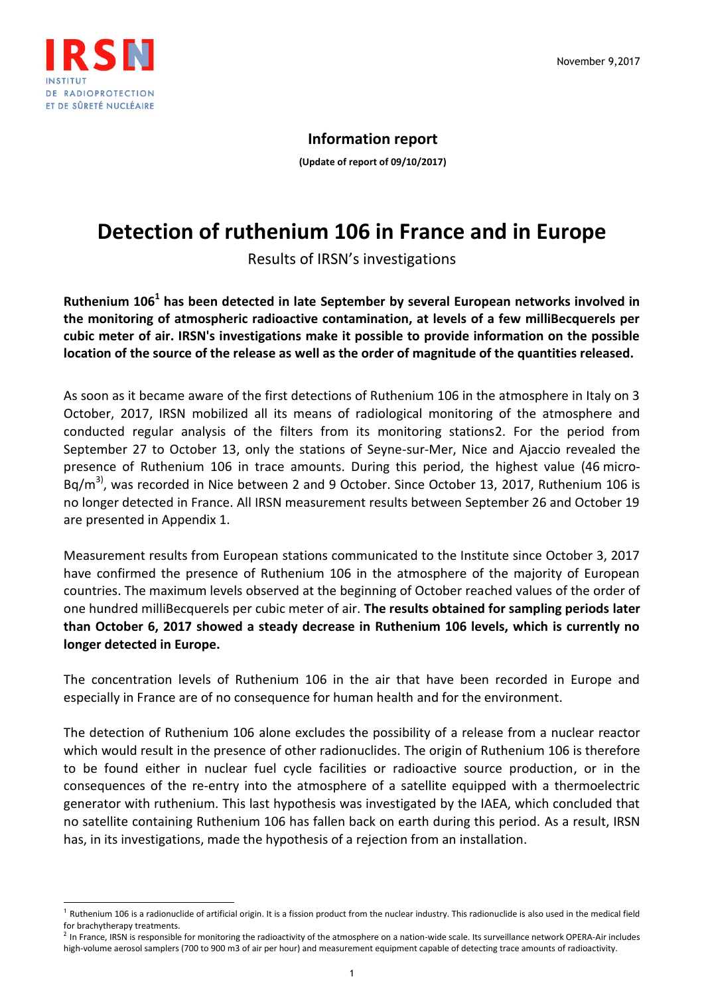

l

## **Information report**

**(Update of report of 09/10/2017)**

## **Detection of ruthenium 106 in France and in Europe**

Results of IRSN's investigations

**Ruthenium 106<sup>1</sup> has been detected in late September by several European networks involved in the monitoring of atmospheric radioactive contamination, at levels of a few milliBecquerels per cubic meter of air. IRSN's investigations make it possible to provide information on the possible location of the source of the release as well as the order of magnitude of the quantities released.**

As soon as it became aware of the first detections of Ruthenium 106 in the atmosphere in Italy on 3 October, 2017, IRSN mobilized all its means of radiological monitoring of the atmosphere and conducted regular analysis of the filters from its monitoring stations2. For the period from September 27 to October 13, only the stations of Seyne-sur-Mer, Nice and Ajaccio revealed the presence of Ruthenium 106 in trace amounts. During this period, the highest value (46 micro- $Bq/m<sup>3</sup>$ , was recorded in Nice between 2 and 9 October. Since October 13, 2017, Ruthenium 106 is no longer detected in France. All IRSN measurement results between September 26 and October 19 are presented in Appendix 1.

Measurement results from European stations communicated to the Institute since October 3, 2017 have confirmed the presence of Ruthenium 106 in the atmosphere of the majority of European countries. The maximum levels observed at the beginning of October reached values of the order of one hundred milliBecquerels per cubic meter of air. **The results obtained for sampling periods later than October 6, 2017 showed a steady decrease in Ruthenium 106 levels, which is currently no longer detected in Europe.**

The concentration levels of Ruthenium 106 in the air that have been recorded in Europe and especially in France are of no consequence for human health and for the environment.

The detection of Ruthenium 106 alone excludes the possibility of a release from a nuclear reactor which would result in the presence of other radionuclides. The origin of Ruthenium 106 is therefore to be found either in nuclear fuel cycle facilities or radioactive source production, or in the consequences of the re-entry into the atmosphere of a satellite equipped with a thermoelectric generator with ruthenium. This last hypothesis was investigated by the IAEA, which concluded that no satellite containing Ruthenium 106 has fallen back on earth during this period. As a result, IRSN has, in its investigations, made the hypothesis of a rejection from an installation.

<sup>&</sup>lt;sup>1</sup> Ruthenium 106 is a radionuclide of artificial origin. It is a fission product from the nuclear industry. This radionuclide is also used in the medical field for brachytherapy treatments.

 $^2$  In France, IRSN is responsible for monitoring the radioactivity of the atmosphere on a nation-wide scale. Its surveillance network OPERA-Air includes high-volume aerosol samplers (700 to 900 m3 of air per hour) and measurement equipment capable of detecting trace amounts of radioactivity.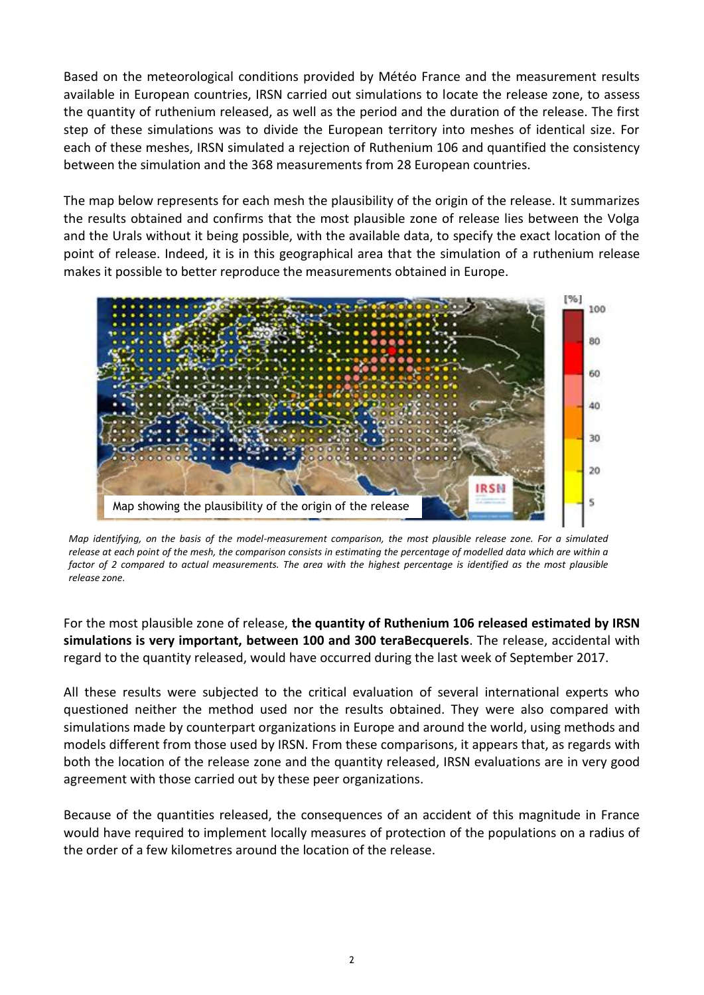Based on the meteorological conditions provided by Météo France and the measurement results available in European countries, IRSN carried out simulations to locate the release zone, to assess the quantity of ruthenium released, as well as the period and the duration of the release. The first step of these simulations was to divide the European territory into meshes of identical size. For each of these meshes, IRSN simulated a rejection of Ruthenium 106 and quantified the consistency between the simulation and the 368 measurements from 28 European countries.

The map below represents for each mesh the plausibility of the origin of the release. It summarizes the results obtained and confirms that the most plausible zone of release lies between the Volga and the Urals without it being possible, with the available data, to specify the exact location of the point of release. Indeed, it is in this geographical area that the simulation of a ruthenium release makes it possible to better reproduce the measurements obtained in Europe.



*Map identifying, on the basis of the model-measurement comparison, the most plausible release zone. For a simulated release at each point of the mesh, the comparison consists in estimating the percentage of modelled data which are within a*  factor of 2 compared to actual measurements. The area with the highest percentage is identified as the most plausible *release zone.* 

For the most plausible zone of release, **the quantity of Ruthenium 106 released estimated by IRSN simulations is very important, between 100 and 300 teraBecquerels**. The release, accidental with regard to the quantity released, would have occurred during the last week of September 2017.

All these results were subjected to the critical evaluation of several international experts who questioned neither the method used nor the results obtained. They were also compared with simulations made by counterpart organizations in Europe and around the world, using methods and models different from those used by IRSN. From these comparisons, it appears that, as regards with both the location of the release zone and the quantity released, IRSN evaluations are in very good agreement with those carried out by these peer organizations.

Because of the quantities released, the consequences of an accident of this magnitude in France would have required to implement locally measures of protection of the populations on a radius of the order of a few kilometres around the location of the release.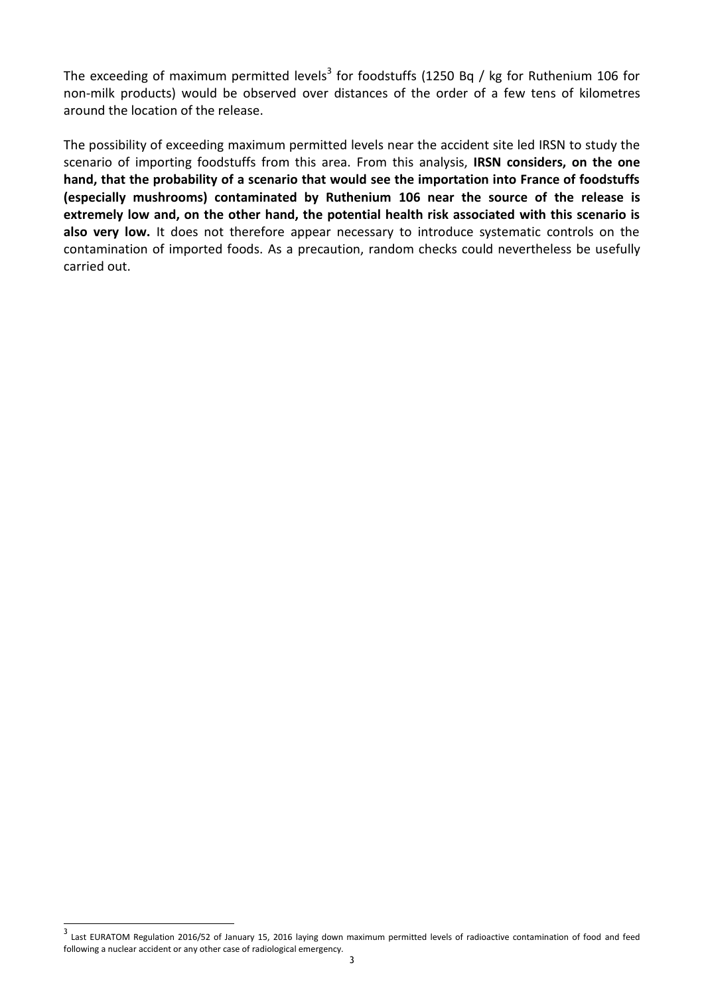The exceeding of maximum permitted levels<sup>3</sup> for foodstuffs (1250 Bq / kg for Ruthenium 106 for non-milk products) would be observed over distances of the order of a few tens of kilometres around the location of the release.

The possibility of exceeding maximum permitted levels near the accident site led IRSN to study the scenario of importing foodstuffs from this area. From this analysis, **IRSN considers, on the one hand, that the probability of a scenario that would see the importation into France of foodstuffs (especially mushrooms) contaminated by Ruthenium 106 near the source of the release is extremely low and, on the other hand, the potential health risk associated with this scenario is also very low.** It does not therefore appear necessary to introduce systematic controls on the contamination of imported foods. As a precaution, random checks could nevertheless be usefully carried out.

 $\overline{a}$ 

<sup>&</sup>lt;sup>3</sup> Last EURATOM Regulation 2016/52 of January 15, 2016 laying down maximum permitted levels of radioactive contamination of food and feed following a nuclear accident or any other case of radiological emergency.